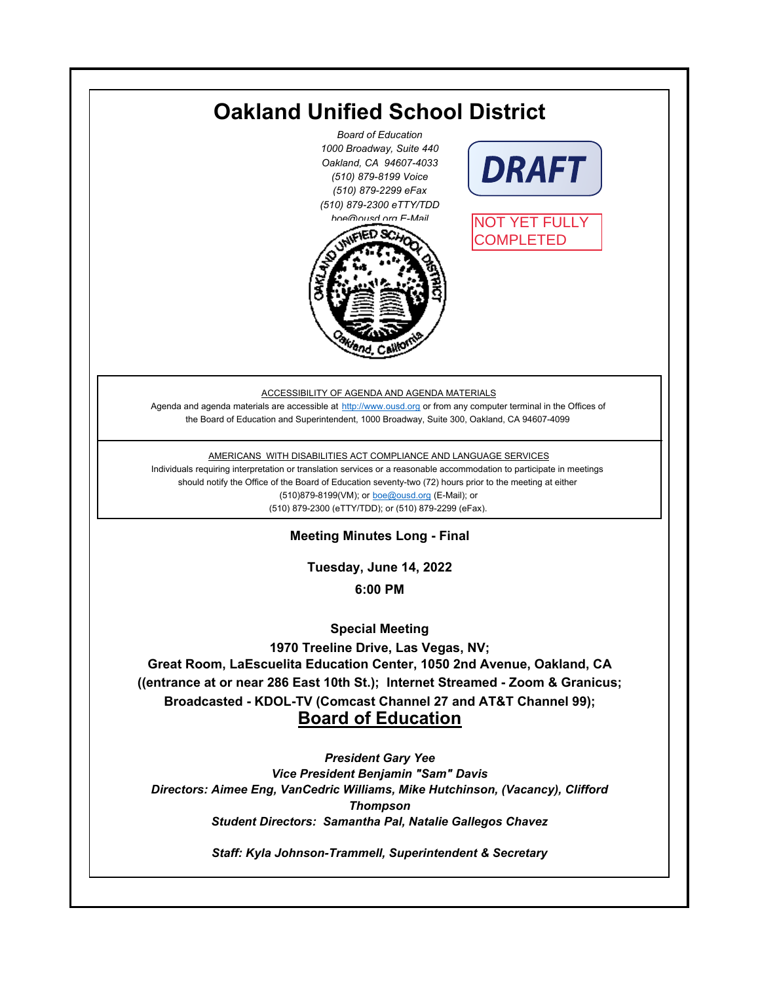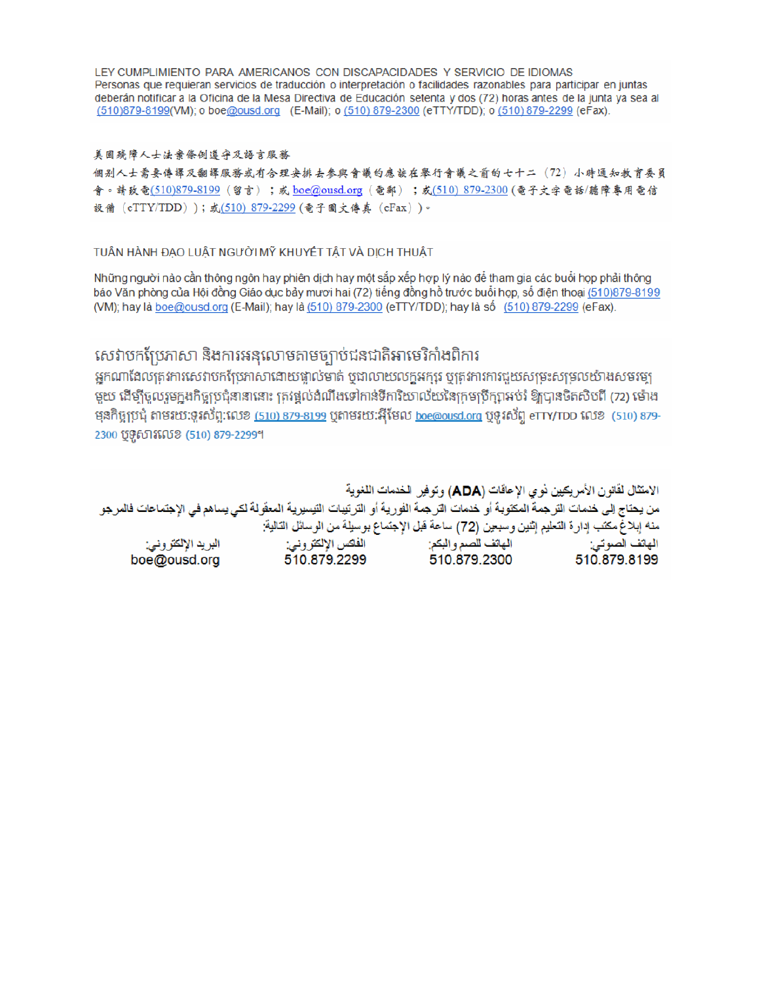LEY CUMPLIMIENTO PARA AMERICANOS CON DISCAPACIDADES Y SERVICIO DE IDIOMAS Personas que requieran servicios de traducción o interpretación o facilidades razonables para participar en juntas deberán notificar a la Oficina de la Mesa Directiva de Educación setenta y dos (72) horas antes de la junta ya sea al (510)879-8199(VM); o boe@ousd.org (E-Mail); o (510) 879-2300 (eTTY/TDD); o (510) 879-2299 (eFax).

#### 美国残障人士法案條例遵守及語言服務

個别人士需要傳譯及翻譯服務或有合理安排去參與會議的應該在舉行會議之前的七十二 (72) 小時通知教育委員 會。請致電(510)879-8199(留言);或 boe@ousd.org (電郵) ;或(510) 879-2300 (電子文字電話/聽障專用電信 設備 (eTTY/TDD));或(510)879-2299(電子圖文傳真 (eFax))。

#### TUÂN HÀNH ĐẠO LUẬT NGƯỜI MỸ KHUYẾT TẤT VÀ DỊCH THUẬT

Những người nào cần thông ngôn hay phiên dịch hay một sắp xếp hợp lý nào để tham gia các buổi họp phải thông báo Văn phòng của Hội đồng Giáo dục bảy mươi hai (72) tiếng đồng hồ trước buổi họp, số điện thoại (510)879-8199 (VM); hay là boe@ousd.org (E-Mail); hay là (510) 879-2300 (eTTY/TDD); hay là số (510) 879-2299 (eFax).

# សេវាបកប្រែភាសា និងការអនុលោមតាមច្បាប់ជនជាតិអាមេរិកាំងពិការ

អកណាដែលតេវការសេវាបកប្រែភាសាដោយផ្ទាល់មាត់ ឬជាលាយលក្ខអក្សរ ឬត្រូវការការជួយសម្រះសម្រលយ៉ាងសមរម្យ មយ ដើម្បីចលរមកងកិច្ចប្រជុំនានានោះ ត្រូវផ្តល់ដំណឹងទៅកាន់ទីការិយាល័យនៃក្រមប្រឹក្សាអប់រំ ឱ្យបានចិតសិបពី (72) ម៉ោង ម្មនកិច្ចប្រជុំ តាមរយៈទូរស័ព្ទ:លេខ (<u>510) 879-8199</u> បុតាមរយៈអ៊ីមែល <u>boe@ousd.org</u> បុទ្**រ**ស័ព្ទ eTTY/TDD លេខ (510) 879-2300 ប៊ូទ្មិសារលេខ (510) 879-2299។

الامتثال لقانون الأمريكيين نو ي الإعاقات (ADA) وتوفير الخدمات اللغوية من يحتاج إلى خدمات التر جمة المكتوبة أو خدمات التر جمة الفورية أو الترتيبات التيسيرية المعفّولة لكي يساهم في الإجتماعات فالمرجو منه إبلاغ مكتب إدارة التعليم إثنين وسبعين (72) ساعة قبل الإجتماع بوسيلة من الوسائل التالية: البريد الإلكتروني: 510.879.2299 boe@ousd.org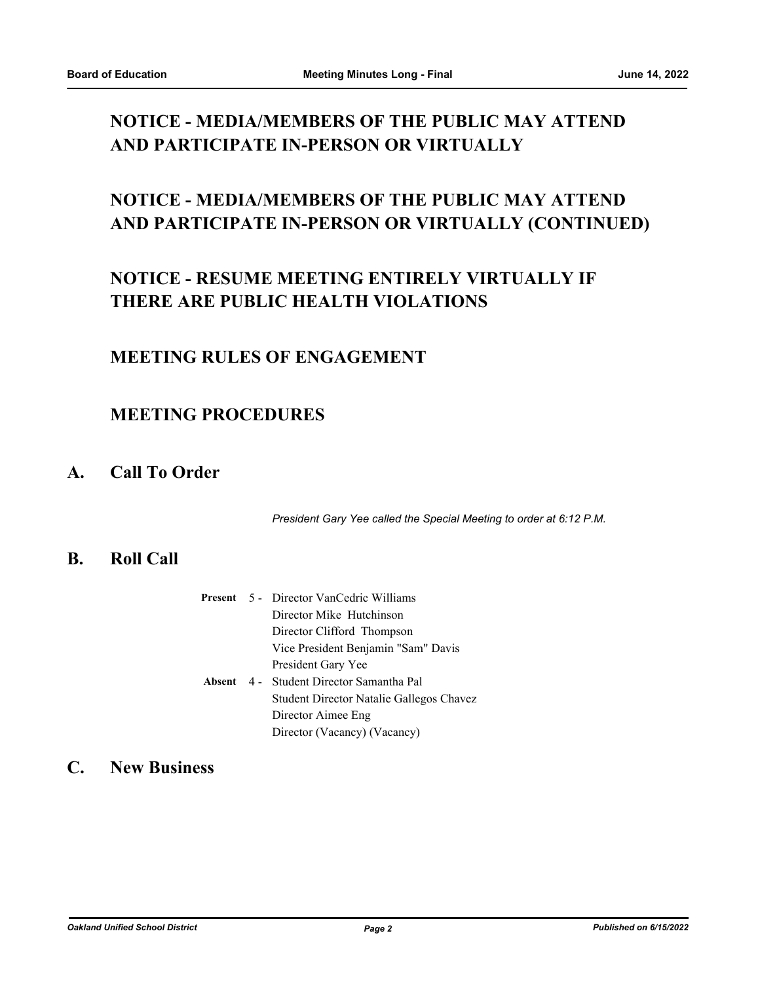# **NOTICE - MEDIA/MEMBERS OF THE PUBLIC MAY ATTEND AND PARTICIPATE IN-PERSON OR VIRTUALLY**

# **NOTICE - MEDIA/MEMBERS OF THE PUBLIC MAY ATTEND AND PARTICIPATE IN-PERSON OR VIRTUALLY (CONTINUED)**

# **NOTICE - RESUME MEETING ENTIRELY VIRTUALLY IF THERE ARE PUBLIC HEALTH VIOLATIONS**

### **MEETING RULES OF ENGAGEMENT**

# **MEETING PROCEDURES**

# **A. Call To Order**

*President Gary Yee called the Special Meeting to order at 6:12 P.M.*

#### **B. Roll Call**

|             | <b>Present</b> 5 - Director VanCedric Williams |
|-------------|------------------------------------------------|
|             | Director Mike Hutchinson                       |
|             | Director Clifford Thompson                     |
|             | Vice President Benjamin "Sam" Davis            |
|             | President Gary Yee                             |
| Absent $4-$ | Student Director Samantha Pal                  |
|             | Student Director Natalie Gallegos Chavez       |
|             | Director Aimee Eng                             |
|             | Director (Vacancy) (Vacancy)                   |
|             |                                                |

# **C. New Business**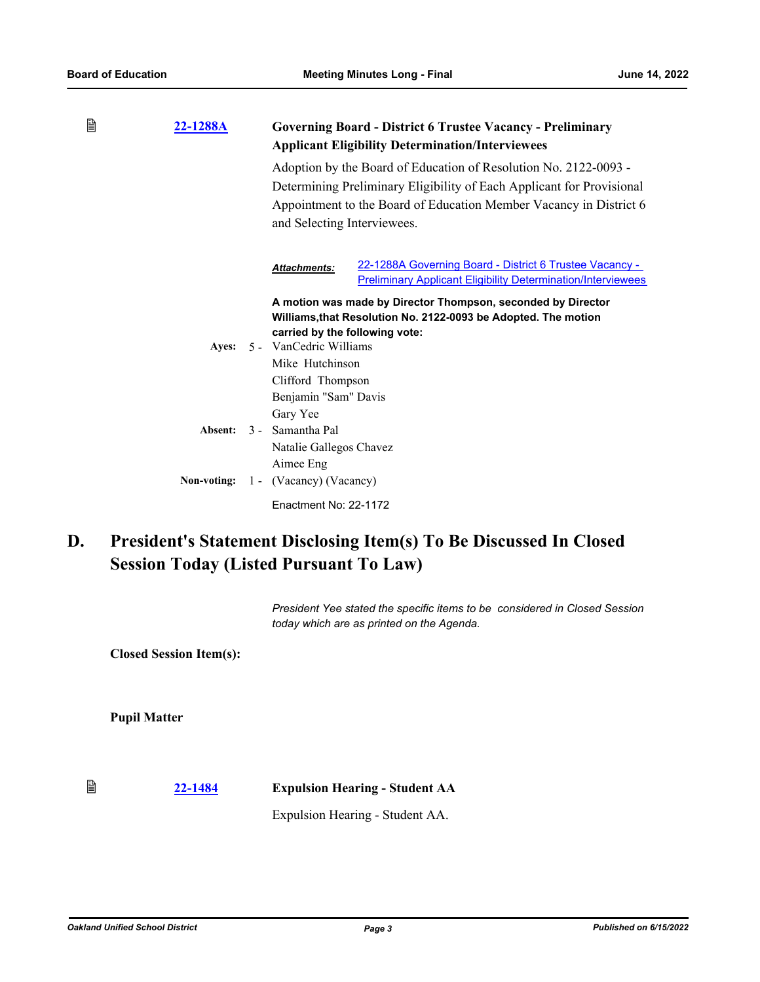| B | 22-1288A    |                                                 | <b>Governing Board - District 6 Trustee Vacancy - Preliminary</b><br><b>Applicant Eligibility Determination/Interviewees</b>                                                                                    |
|---|-------------|-------------------------------------------------|-----------------------------------------------------------------------------------------------------------------------------------------------------------------------------------------------------------------|
|   |             |                                                 | Adoption by the Board of Education of Resolution No. 2122-0093 -<br>Determining Preliminary Eligibility of Each Applicant for Provisional<br>Appointment to the Board of Education Member Vacancy in District 6 |
|   |             | and Selecting Interviewees.                     |                                                                                                                                                                                                                 |
|   |             | <b>Attachments:</b>                             | 22-1288A Governing Board - District 6 Trustee Vacancy -<br><b>Preliminary Applicant Eligibility Determination/Interviewees</b>                                                                                  |
|   |             |                                                 | A motion was made by Director Thompson, seconded by Director<br>Williams, that Resolution No. 2122-0093 be Adopted. The motion                                                                                  |
|   |             | carried by the following vote:                  |                                                                                                                                                                                                                 |
|   |             | Ayes: 5 - VanCedric Williams<br>Mike Hutchinson |                                                                                                                                                                                                                 |
|   |             | Clifford Thompson                               |                                                                                                                                                                                                                 |
|   |             | Benjamin "Sam" Davis                            |                                                                                                                                                                                                                 |
|   |             | Gary Yee                                        |                                                                                                                                                                                                                 |
|   | Absent:     | 3 - Samantha Pal                                |                                                                                                                                                                                                                 |
|   |             | Natalie Gallegos Chavez                         |                                                                                                                                                                                                                 |
|   |             | Aimee Eng                                       |                                                                                                                                                                                                                 |
|   | Non-voting: | 1 - (Vacancy) (Vacancy)                         |                                                                                                                                                                                                                 |
|   |             | Enactment No: 22-1172                           |                                                                                                                                                                                                                 |

#### **President's Statement Disclosing Item(s) To Be Discussed In Closed Session Today (Listed Pursuant To Law) D.**

*President Yee stated the specific items to be considered in Closed Session today which are as printed on the Agenda.*

**Closed Session Item(s):**

**Pupil Matter**

€ **[22-1484](http://ousd.legistar.com/gateway.aspx?m=l&id=/matter.aspx?key=55778) Expulsion Hearing - Student AA**

Expulsion Hearing - Student AA.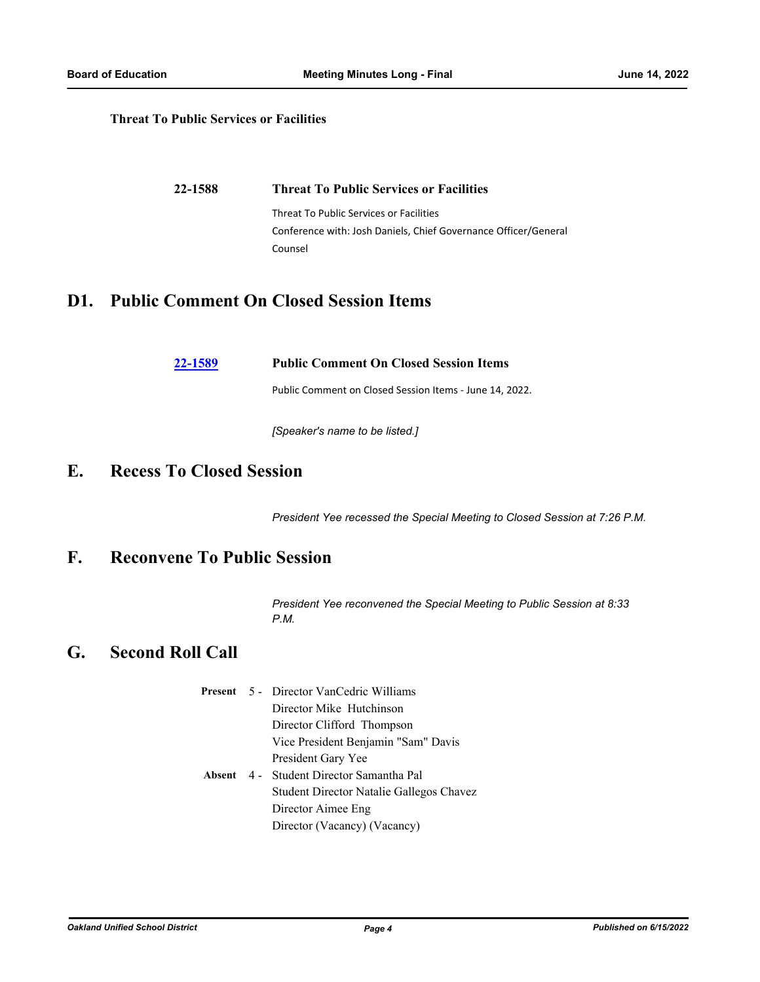#### **Threat To Public Services or Facilities**

| 22-1588 | <b>Threat To Public Services or Facilities</b>                  |
|---------|-----------------------------------------------------------------|
|         | Threat To Public Services or Facilities                         |
|         | Conference with: Josh Daniels, Chief Governance Officer/General |
|         | Counsel                                                         |

### **D1. Public Comment On Closed Session Items**

|  | 22-1589 | <b>Public Comment On Closed Session Items</b> |  |  |  |  |
|--|---------|-----------------------------------------------|--|--|--|--|
|--|---------|-----------------------------------------------|--|--|--|--|

Public Comment on Closed Session Items - June 14, 2022.

*[Speaker's name to be listed.]*

### **E. Recess To Closed Session**

*President Yee recessed the Special Meeting to Closed Session at 7:26 P.M.*

# **F. Reconvene To Public Session**

*President Yee reconvened the Special Meeting to Public Session at 8:33 P.M.*

### **G. Second Roll Call**

|  | <b>Present</b> 5 Director VanCedric Williams |
|--|----------------------------------------------|
|  | Director Mike Hutchinson                     |
|  | Director Clifford Thompson                   |
|  | Vice President Benjamin "Sam" Davis          |
|  | President Gary Yee                           |
|  | Absent 4 - Student Director Samantha Pal     |
|  | Student Director Natalie Gallegos Chavez     |
|  | Director Aimee Eng                           |
|  | Director (Vacancy) (Vacancy)                 |